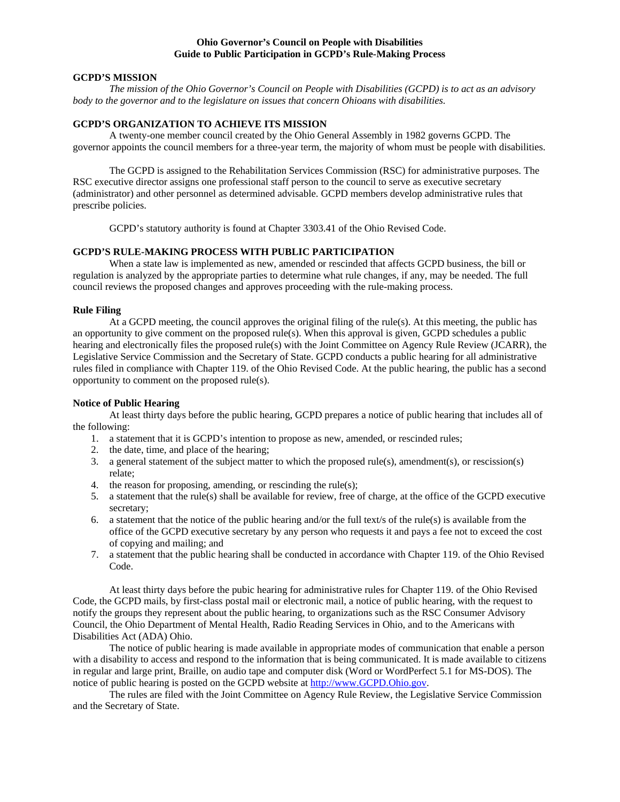# **Ohio Governor's Council on People with Disabilities Guide to Public Participation in GCPD's Rule-Making Process**

# **GCPD'S MISSION**

 *The mission of the Ohio Governor's Council on People with Disabilities (GCPD) is to act as an advisory body to the governor and to the legislature on issues that concern Ohioans with disabilities.* 

# **GCPD'S ORGANIZATION TO ACHIEVE ITS MISSION**

 A twenty-one member council created by the Ohio General Assembly in 1982 governs GCPD. The governor appoints the council members for a three-year term, the majority of whom must be people with disabilities.

 The GCPD is assigned to the Rehabilitation Services Commission (RSC) for administrative purposes. The RSC executive director assigns one professional staff person to the council to serve as executive secretary (administrator) and other personnel as determined advisable. GCPD members develop administrative rules that prescribe policies.

GCPD's statutory authority is found at Chapter 3303.41 of the Ohio Revised Code.

# **GCPD'S RULE-MAKING PROCESS WITH PUBLIC PARTICIPATION**

 When a state law is implemented as new, amended or rescinded that affects GCPD business, the bill or regulation is analyzed by the appropriate parties to determine what rule changes, if any, may be needed. The full council reviews the proposed changes and approves proceeding with the rule-making process.

#### **Rule Filing**

 At a GCPD meeting, the council approves the original filing of the rule(s). At this meeting, the public has an opportunity to give comment on the proposed rule(s). When this approval is given, GCPD schedules a public hearing and electronically files the proposed rule(s) with the Joint Committee on Agency Rule Review (JCARR), the Legislative Service Commission and the Secretary of State. GCPD conducts a public hearing for all administrative rules filed in compliance with Chapter 119. of the Ohio Revised Code. At the public hearing, the public has a second opportunity to comment on the proposed rule(s).

#### **Notice of Public Hearing**

 At least thirty days before the public hearing, GCPD prepares a notice of public hearing that includes all of the following:

- 1. a statement that it is GCPD's intention to propose as new, amended, or rescinded rules;
- 2. the date, time, and place of the hearing;
- 3. a general statement of the subject matter to which the proposed rule(s), amendment(s), or rescission(s) relate;
- 4. the reason for proposing, amending, or rescinding the rule(s);
- 5. a statement that the rule(s) shall be available for review, free of charge, at the office of the GCPD executive secretary;
- 6. a statement that the notice of the public hearing and/or the full text/s of the rule(s) is available from the office of the GCPD executive secretary by any person who requests it and pays a fee not to exceed the cost of copying and mailing; and
- 7. a statement that the public hearing shall be conducted in accordance with Chapter 119. of the Ohio Revised Code.

 At least thirty days before the pubic hearing for administrative rules for Chapter 119. of the Ohio Revised Code, the GCPD mails, by first-class postal mail or electronic mail, a notice of public hearing, with the request to notify the groups they represent about the public hearing, to organizations such as the RSC Consumer Advisory Council, the Ohio Department of Mental Health, Radio Reading Services in Ohio, and to the Americans with Disabilities Act (ADA) Ohio.

 The notice of public hearing is made available in appropriate modes of communication that enable a person with a disability to access and respond to the information that is being communicated. It is made available to citizens in regular and large print, Braille, on audio tape and computer disk (Word or WordPerfect 5.1 for MS-DOS). The notice of public hearing is posted on the GCPD website at http://www.GCPD.Ohio.gov.

 The rules are filed with the Joint Committee on Agency Rule Review, the Legislative Service Commission and the Secretary of State.